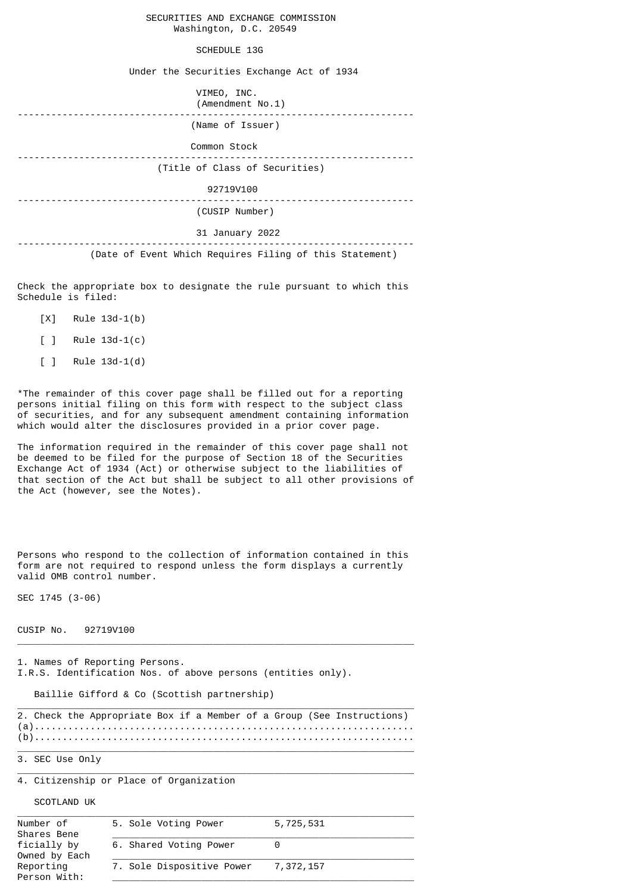## SECURITIES AND EXCHANGE COMMISSION Washington, D.C. 20549

## SCHEDULE 13G

Under the Securities Exchange Act of 1934

| VIMEO, INC.<br>(Amendment No.1)                         |
|---------------------------------------------------------|
| (Name of Issuer)                                        |
| Common Stock                                            |
| (Title of Class of Securities)                          |
| 92719V100                                               |
| (CUSIP Number)                                          |
| 31 January 2022                                         |
| (Date of Event Which Requires Filing of this Statement) |

Check the appropriate box to designate the rule pursuant to which this Schedule is filed:

- [X] Rule 13d-1(b)
- [ ] Rule 13d-1(c)
- [ ] Rule 13d-1(d)

\*The remainder of this cover page shall be filled out for a reporting persons initial filing on this form with respect to the subject class of securities, and for any subsequent amendment containing information which would alter the disclosures provided in a prior cover page.

The information required in the remainder of this cover page shall not be deemed to be filed for the purpose of Section 18 of the Securities Exchange Act of 1934 (Act) or otherwise subject to the liabilities of that section of the Act but shall be subject to all other provisions of the Act (however, see the Notes).

Persons who respond to the collection of information contained in this form are not required to respond unless the form displays a currently valid OMB control number.

SEC 1745 (3-06)

CUSIP No. 92719V100

1. Names of Reporting Persons. I.R.S. Identification Nos. of above persons (entities only).

Baillie Gifford & Co (Scottish partnership)

|  |  |  |  |  | 2. Check the Appropriate Box if a Member of a Group (See Instructions) |
|--|--|--|--|--|------------------------------------------------------------------------|
|  |  |  |  |  |                                                                        |
|  |  |  |  |  |                                                                        |

 $\_$  , and the set of the set of the set of the set of the set of the set of the set of the set of the set of the set of the set of the set of the set of the set of the set of the set of the set of the set of the set of th

 $\_$  , and the set of the set of the set of the set of the set of the set of the set of the set of the set of the set of the set of the set of the set of the set of the set of the set of the set of the set of the set of th

 $\_$  , and the set of the set of the set of the set of the set of the set of the set of the set of the set of the set of the set of the set of the set of the set of the set of the set of the set of the set of the set of th

3. SEC Use Only

4. Citizenship or Place of Organization

SCOTLAND UK

| Number of<br>Shares Bene     | 5. Sole Voting Power      | 5,725,531 |
|------------------------------|---------------------------|-----------|
| ficially by<br>Owned by Each | 6. Shared Voting Power    |           |
| Reporting<br>Person With:    | 7. Sole Dispositive Power | 7,372,157 |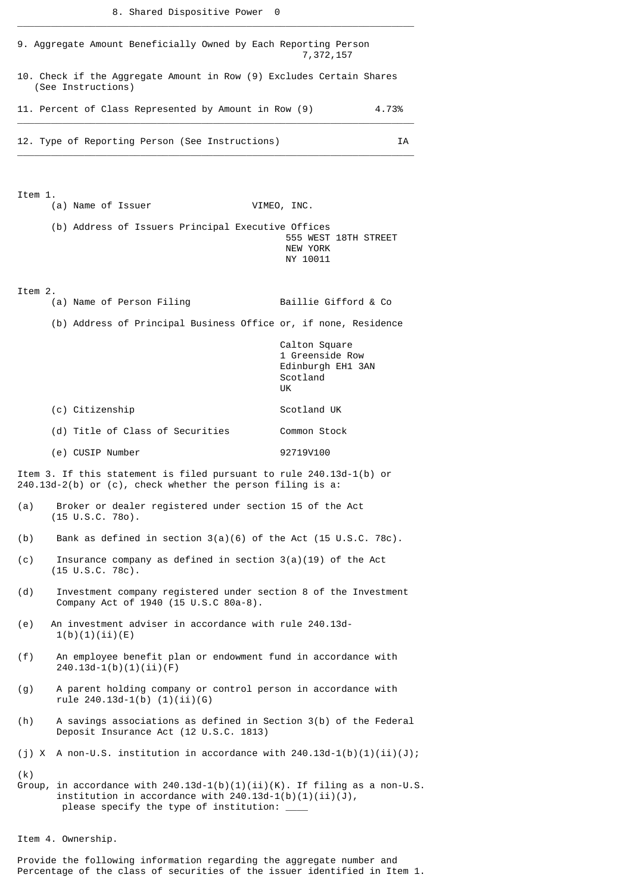\_\_\_\_\_\_\_\_\_\_\_\_\_\_\_\_\_\_\_\_\_\_\_\_\_\_\_\_\_\_\_\_\_\_\_\_\_\_\_\_\_\_\_\_\_\_\_\_\_\_\_\_\_\_\_\_\_\_\_\_\_\_\_\_\_\_\_\_\_\_\_

| 9. Aggregate Amount Beneficially Owned by Each Reporting Person<br>7,372,157                                    |                                                                                                                                                                                           |                                                                         |  |  |  |  |  |
|-----------------------------------------------------------------------------------------------------------------|-------------------------------------------------------------------------------------------------------------------------------------------------------------------------------------------|-------------------------------------------------------------------------|--|--|--|--|--|
| 10. Check if the Aggregate Amount in Row (9) Excludes Certain Shares<br>(See Instructions)                      |                                                                                                                                                                                           |                                                                         |  |  |  |  |  |
|                                                                                                                 | 11. Percent of Class Represented by Amount in Row (9)<br>4.73%                                                                                                                            |                                                                         |  |  |  |  |  |
|                                                                                                                 | 12. Type of Reporting Person (See Instructions)<br>ΙA                                                                                                                                     |                                                                         |  |  |  |  |  |
| Item 1.                                                                                                         | (a) Name of Issuer                                                                                                                                                                        | VIMEO, INC.                                                             |  |  |  |  |  |
|                                                                                                                 | (b) Address of Issuers Principal Executive Offices                                                                                                                                        | 555 WEST 18TH STREET<br>NEW YORK<br>NY 10011                            |  |  |  |  |  |
| Item 2.                                                                                                         | (a) Name of Person Filing                                                                                                                                                                 | Baillie Gifford & Co                                                    |  |  |  |  |  |
|                                                                                                                 | (b) Address of Principal Business Office or, if none, Residence                                                                                                                           |                                                                         |  |  |  |  |  |
|                                                                                                                 |                                                                                                                                                                                           | Calton Square<br>1 Greenside Row<br>Edinburgh EH1 3AN<br>Scotland<br>UK |  |  |  |  |  |
|                                                                                                                 | (c) Citizenship                                                                                                                                                                           | Scotland UK                                                             |  |  |  |  |  |
|                                                                                                                 | (d) Title of Class of Securities                                                                                                                                                          | Common Stock                                                            |  |  |  |  |  |
|                                                                                                                 | (e) CUSIP Number                                                                                                                                                                          | 92719V100                                                               |  |  |  |  |  |
|                                                                                                                 | Item 3. If this statement is filed pursuant to rule 240.13d-1(b) or<br>$240.13d-2(b)$ or (c), check whether the person filing is a:                                                       |                                                                         |  |  |  |  |  |
|                                                                                                                 | (a) Broker or dealer registered under section 15 of the Act<br>$(15 \tU.S.C. 780)$ .                                                                                                      |                                                                         |  |  |  |  |  |
| (b)                                                                                                             | Bank as defined in section $3(a)(6)$ of the Act (15 U.S.C. 78c).                                                                                                                          |                                                                         |  |  |  |  |  |
| (c)                                                                                                             | Insurance company as defined in section $3(a)(19)$ of the Act<br>$(15 \cup .S.C. 78c)$ .                                                                                                  |                                                                         |  |  |  |  |  |
| Investment company registered under section 8 of the Investment<br>(d)<br>Company Act of 1940 (15 U.S.C 80a-8). |                                                                                                                                                                                           |                                                                         |  |  |  |  |  |
| (e)                                                                                                             | An investment adviser in accordance with rule 240.13d-<br>1(b)(1)(ii)(E)                                                                                                                  |                                                                         |  |  |  |  |  |
| (f)                                                                                                             | An employee benefit plan or endowment fund in accordance with<br>$240.13d-1(b)(1)(ii)(F)$                                                                                                 |                                                                         |  |  |  |  |  |
| (g)                                                                                                             | A parent holding company or control person in accordance with<br>rule $240.13d-1(b)$ $(1)(ii)(6)$                                                                                         |                                                                         |  |  |  |  |  |
| (h)                                                                                                             | A savings associations as defined in Section 3(b) of the Federal<br>Deposit Insurance Act (12 U.S.C. 1813)                                                                                |                                                                         |  |  |  |  |  |
|                                                                                                                 | (j) X A non-U.S. institution in accordance with $240.13d-1(b)(1)(ii)(J);$                                                                                                                 |                                                                         |  |  |  |  |  |
| (k)                                                                                                             | Group, in accordance with $240.13d-1(b)(1)(ii)(K)$ . If filing as a non-U.S.<br>institution in accordance with $240.13d-1(b)(1)(ii)(J)$ ,<br>please specify the type of institution: ____ |                                                                         |  |  |  |  |  |

Item 4. Ownership.

Provide the following information regarding the aggregate number and Percentage of the class of securities of the issuer identified in Item 1.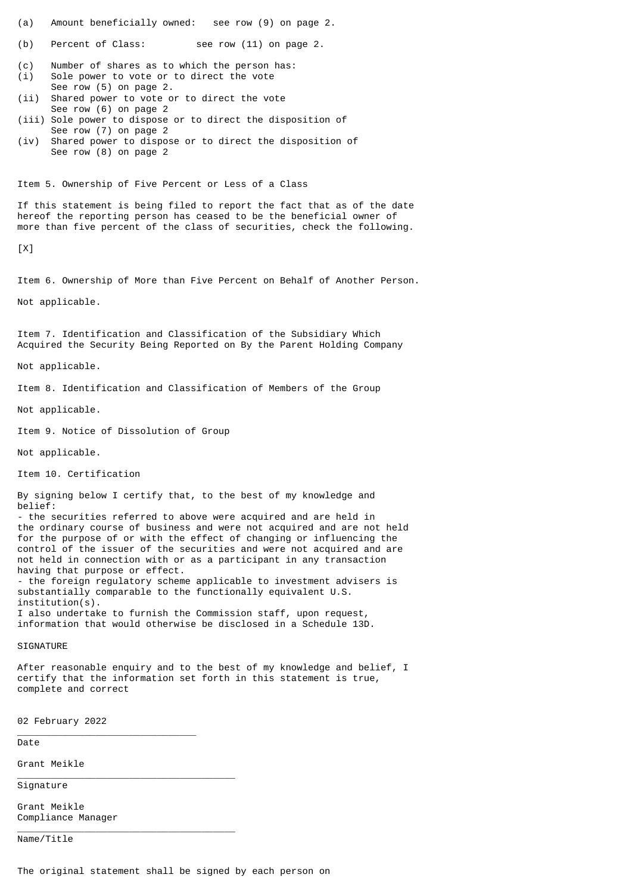(a) Amount beneficially owned: see row (9) on page 2.

(b) Percent of Class: see row (11) on page 2.

(c) Number of shares as to which the person has: (i) Sole power to vote or to direct the vote

 See row (5) on page 2. (ii) Shared power to vote or to direct the vote See row (6) on page 2

(iii) Sole power to dispose or to direct the disposition of See row (7) on page 2

(iv) Shared power to dispose or to direct the disposition of See row (8) on page 2

Item 5. Ownership of Five Percent or Less of a Class

If this statement is being filed to report the fact that as of the date hereof the reporting person has ceased to be the beneficial owner of more than five percent of the class of securities, check the following.

 $[X]$ 

Item 6. Ownership of More than Five Percent on Behalf of Another Person.

Not applicable.

Item 7. Identification and Classification of the Subsidiary Which Acquired the Security Being Reported on By the Parent Holding Company

Not applicable.

Item 8. Identification and Classification of Members of the Group

Not applicable.

Item 9. Notice of Dissolution of Group

Not applicable.

Item 10. Certification

By signing below I certify that, to the best of my knowledge and belief:

- the securities referred to above were acquired and are held in the ordinary course of business and were not acquired and are not held for the purpose of or with the effect of changing or influencing the control of the issuer of the securities and were not acquired and are not held in connection with or as a participant in any transaction having that purpose or effect. - the foreign regulatory scheme applicable to investment advisers is substantially comparable to the functionally equivalent U.S. institution(s).

I also undertake to furnish the Commission staff, upon request, information that would otherwise be disclosed in a Schedule 13D.

SIGNATURE

After reasonable enquiry and to the best of my knowledge and belief, I certify that the information set forth in this statement is true, complete and correct

02 February 2022

\_\_\_\_\_\_\_\_\_\_\_\_\_\_\_\_\_\_\_\_\_\_\_\_\_\_\_\_\_\_\_\_

\_\_\_\_\_\_\_\_\_\_\_\_\_\_\_\_\_\_\_\_\_\_\_\_\_\_\_\_\_\_\_\_\_\_\_\_\_\_\_

\_\_\_\_\_\_\_\_\_\_\_\_\_\_\_\_\_\_\_\_\_\_\_\_\_\_\_\_\_\_\_\_\_\_\_\_\_\_\_

Date

Grant Meikle

Signature

Grant Meikle Compliance Manager

Name/Title